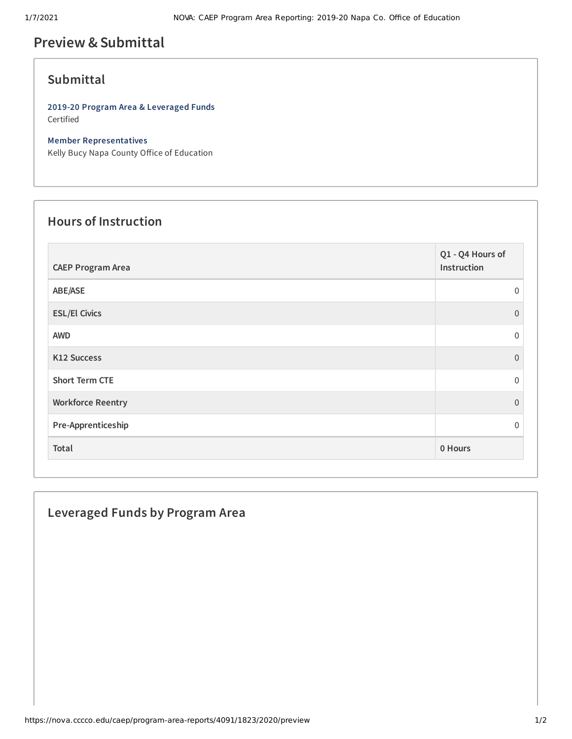# **Preview &Submittal**

### **Submittal**

**2019-20 Program Area & Leveraged Funds** Certified

#### **Member Representatives**

Kelly Bucy Napa County Office of Education

### **Hours of Instruction**

| <b>CAEP Program Area</b> | Q1 - Q4 Hours of<br>Instruction |
|--------------------------|---------------------------------|
| ABE/ASE                  | $\mathbf{0}$                    |
| <b>ESL/El Civics</b>     | $\Omega$                        |
| <b>AWD</b>               | $\mathbf 0$                     |
| K12 Success              | $\overline{0}$                  |
| <b>Short Term CTE</b>    | $\Omega$                        |
| <b>Workforce Reentry</b> | $\Omega$                        |
| Pre-Apprenticeship       | $\Omega$                        |
| Total                    | 0 Hours                         |

# **Leveraged Funds by Program Area**